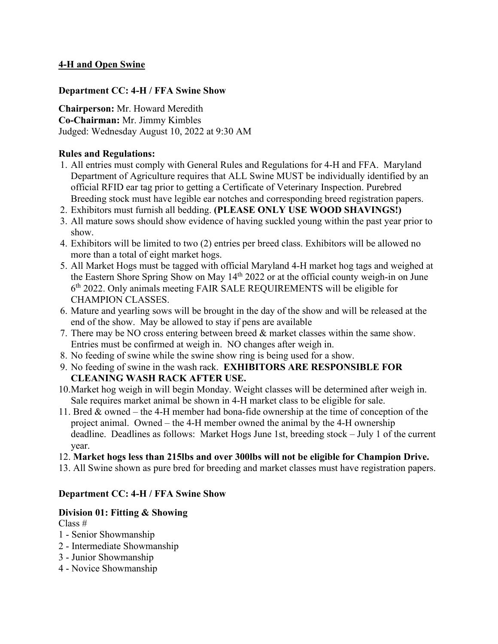# **4-H and Open Swine**

### **Department CC: 4-H / FFA Swine Show**

**Chairperson:** Mr. Howard Meredith **Co-Chairman:** Mr. Jimmy Kimbles Judged: Wednesday August 10, 2022 at 9:30 AM

### **Rules and Regulations:**

- 1. All entries must comply with General Rules and Regulations for 4-H and FFA. Maryland Department of Agriculture requires that ALL Swine MUST be individually identified by an official RFID ear tag prior to getting a Certificate of Veterinary Inspection. Purebred Breeding stock must have legible ear notches and corresponding breed registration papers.
- 2. Exhibitors must furnish all bedding. **(PLEASE ONLY USE WOOD SHAVINGS!)**
- 3. All mature sows should show evidence of having suckled young within the past year prior to show.
- 4. Exhibitors will be limited to two (2) entries per breed class. Exhibitors will be allowed no more than a total of eight market hogs.
- 5. All Market Hogs must be tagged with official Maryland 4-H market hog tags and weighed at the Eastern Shore Spring Show on May 14<sup>th</sup> 2022 or at the official county weigh-in on June 6th 2022. Only animals meeting FAIR SALE REQUIREMENTS will be eligible for CHAMPION CLASSES.
- 6. Mature and yearling sows will be brought in the day of the show and will be released at the end of the show. May be allowed to stay if pens are available
- 7. There may be NO cross entering between breed & market classes within the same show. Entries must be confirmed at weigh in. NO changes after weigh in.
- 8. No feeding of swine while the swine show ring is being used for a show.
- 9. No feeding of swine in the wash rack. **EXHIBITORS ARE RESPONSIBLE FOR CLEANING WASH RACK AFTER USE.**
- 10. Market hog weigh in will begin Monday. Weight classes will be determined after weigh in. Sale requires market animal be shown in 4-H market class to be eligible for sale.
- 11. Bred & owned the 4-H member had bona-fide ownership at the time of conception of the project animal. Owned – the 4-H member owned the animal by the 4-H ownership deadline. Deadlines as follows: Market Hogs June 1st, breeding stock – July 1 of the current year.
- 12. **Market hogs less than 215lbs and over 300lbs will not be eligible for Champion Drive.**
- 13. All Swine shown as pure bred for breeding and market classes must have registration papers.

## **Department CC: 4-H / FFA Swine Show**

## **Division 01: Fitting & Showing**

Class #

- 1 Senior Showmanship
- 2 Intermediate Showmanship
- 3 Junior Showmanship
- 4 Novice Showmanship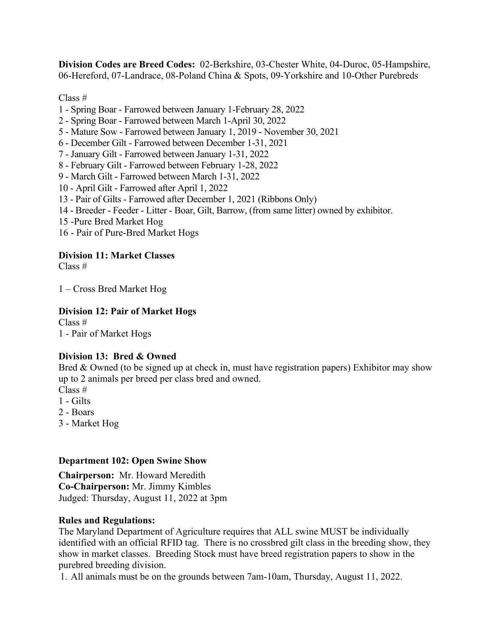**Division Codes are Breed Codes:** 02-Berkshire, 03-Chester White, 04-Duroc, 05-Hampshire, 06-Hereford, 07-Landrace, 08-Poland China & Spots, 09-Yorkshire and 10-Other Purebreds

Class #

- 1 Spring Boar Farrowed between January 1-February 28, 2022
- 2 Spring Boar Farrowed between March 1-April 30, 2022
- 5 Mature Sow Farrowed between January 1, 2019 November 30, 2021
- 6 December Gilt Farrowed between December 1-31, 2021
- 7 January Gilt Farrowed between January 1-31, 2022
- 8 February Gilt Farrowed between February 1-28, 2022
- 9 March Gilt Farrowed between March 1-31, 2022
- 10 April Gilt Farrowed after April 1, 2022
- 13 Pair of Gilts Farrowed after December 1, 2021 (Ribbons Only)
- 14 Breeder Feeder Litter Boar, Gilt, Barrow, (from same litter) owned by exhibitor.
- 15 -Pure Bred Market Hog
- 16 Pair of Pure-Bred Market Hogs

## **Division 11: Market Classes**

Class #

1 – Cross Bred Market Hog

### **Division 12: Pair of Market Hogs**

Class # 1 - Pair of Market Hogs

## **Division 13: Bred & Owned**

Bred & Owned (to be signed up at check in, must have registration papers) Exhibitor may show up to 2 animals per breed per class bred and owned. Class #

- 1 Gilts
- 
- 2 Boars
- 3 Market Hog

#### **Department 102: Open Swine Show**

**Chairperson:** Mr. Howard Meredith **Co-Chairperson:** Mr. Jimmy Kimbles Judged: Thursday, August 11, 2022 at 3pm

#### **Rules and Regulations:**

The Maryland Department of Agriculture requires that ALL swine MUST be individually identified with an official RFID tag. There is no crossbred gilt class in the breeding show, they show in market classes. Breeding Stock must have breed registration papers to show in the purebred breeding division.

1. All animals must be on the grounds between 7am-10am, Thursday, August 11, 2022.